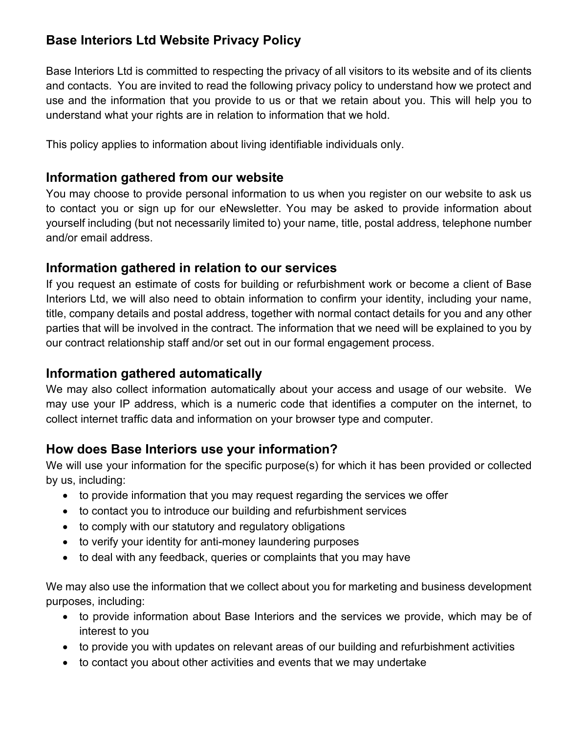# **Base Interiors Ltd Website Privacy Policy**

Base Interiors Ltd is committed to respecting the privacy of all visitors to its website and of its clients and contacts. You are invited to read the following privacy policy to understand how we protect and use and the information that you provide to us or that we retain about you. This will help you to understand what your rights are in relation to information that we hold.

This policy applies to information about living identifiable individuals only.

#### **Information gathered from our website**

You may choose to provide personal information to us when you register on our website to ask us to contact you or sign up for our eNewsletter. You may be asked to provide information about yourself including (but not necessarily limited to) your name, title, postal address, telephone number and/or email address.

#### **Information gathered in relation to our services**

If you request an estimate of costs for building or refurbishment work or become a client of Base Interiors Ltd, we will also need to obtain information to confirm your identity, including your name, title, company details and postal address, together with normal contact details for you and any other parties that will be involved in the contract. The information that we need will be explained to you by our contract relationship staff and/or set out in our formal engagement process.

## **Information gathered automatically**

We may also collect information automatically about your access and usage of our website. We may use your IP address, which is a numeric code that identifies a computer on the internet, to collect internet traffic data and information on your browser type and computer.

## **How does Base Interiors use your information?**

We will use your information for the specific purpose(s) for which it has been provided or collected by us, including:

- to provide information that you may request regarding the services we offer
- to contact you to introduce our building and refurbishment services
- to comply with our statutory and regulatory obligations
- to verify your identity for anti-money laundering purposes
- to deal with any feedback, queries or complaints that you may have

We may also use the information that we collect about you for marketing and business development purposes, including:

- to provide information about Base Interiors and the services we provide, which may be of interest to you
- to provide you with updates on relevant areas of our building and refurbishment activities
- to contact you about other activities and events that we may undertake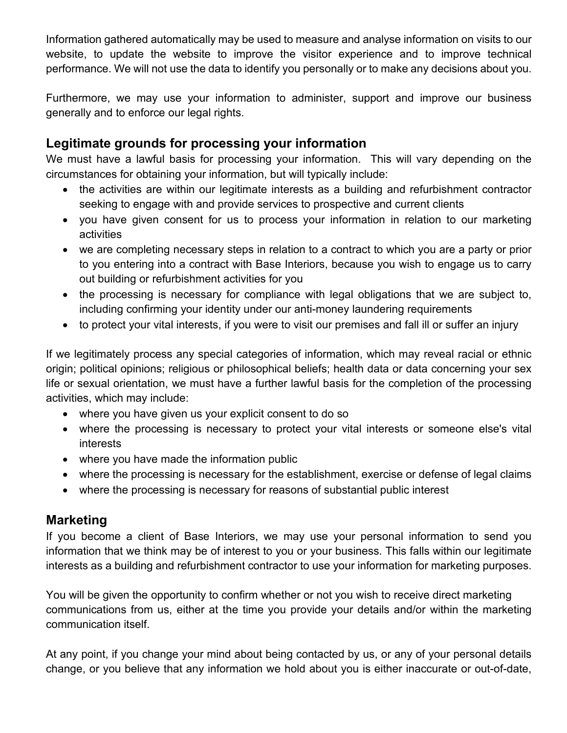Information gathered automatically may be used to measure and analyse information on visits to our website, to update the website to improve the visitor experience and to improve technical performance. We will not use the data to identify you personally or to make any decisions about you.

Furthermore, we may use your information to administer, support and improve our business generally and to enforce our legal rights.

## **Legitimate grounds for processing your information**

We must have a lawful basis for processing your information. This will vary depending on the circumstances for obtaining your information, but will typically include:

- the activities are within our legitimate interests as a building and refurbishment contractor seeking to engage with and provide services to prospective and current clients
- you have given consent for us to process your information in relation to our marketing activities
- we are completing necessary steps in relation to a contract to which you are a party or prior to you entering into a contract with Base Interiors, because you wish to engage us to carry out building or refurbishment activities for you
- the processing is necessary for compliance with legal obligations that we are subject to, including confirming your identity under our anti-money laundering requirements
- to protect your vital interests, if you were to visit our premises and fall ill or suffer an injury

If we legitimately process any special categories of information, which may reveal racial or ethnic origin; political opinions; religious or philosophical beliefs; health data or data concerning your sex life or sexual orientation, we must have a further lawful basis for the completion of the processing activities, which may include:

- where you have given us your explicit consent to do so
- where the processing is necessary to protect your vital interests or someone else's vital interests
- where you have made the information public
- where the processing is necessary for the establishment, exercise or defense of legal claims
- where the processing is necessary for reasons of substantial public interest

## **Marketing**

If you become a client of Base Interiors, we may use your personal information to send you information that we think may be of interest to you or your business. This falls within our legitimate interests as a building and refurbishment contractor to use your information for marketing purposes.

You will be given the opportunity to confirm whether or not you wish to receive direct marketing communications from us, either at the time you provide your details and/or within the marketing communication itself.

At any point, if you change your mind about being contacted by us, or any of your personal details change, or you believe that any information we hold about you is either inaccurate or out-of-date,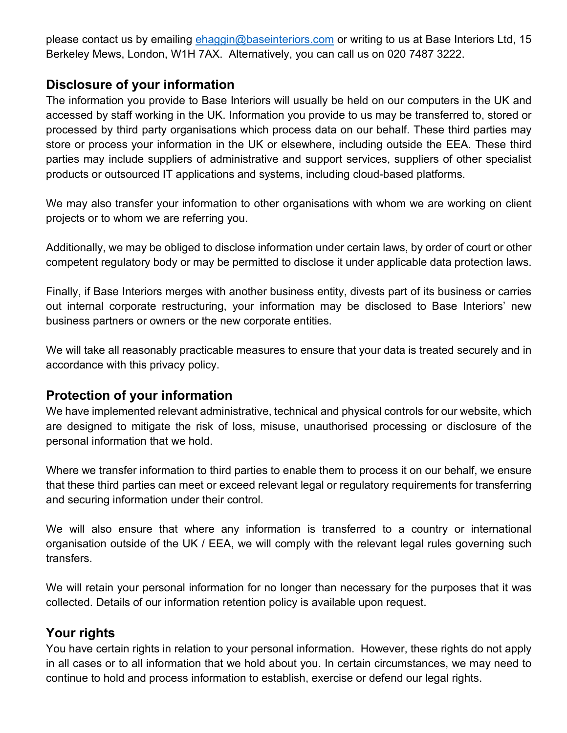please contact us by emailing [ehaggin@baseinteriors.com](mailto:ehaggin@baseinteriors.com) or writing to us at Base Interiors Ltd, 15 Berkeley Mews, London, W1H 7AX. Alternatively, you can call us on 020 7487 3222.

## **Disclosure of your information**

The information you provide to Base Interiors will usually be held on our computers in the UK and accessed by staff working in the UK. Information you provide to us may be transferred to, stored or processed by third party organisations which process data on our behalf. These third parties may store or process your information in the UK or elsewhere, including outside the EEA. These third parties may include suppliers of administrative and support services, suppliers of other specialist products or outsourced IT applications and systems, including cloud-based platforms.

We may also transfer your information to other organisations with whom we are working on client projects or to whom we are referring you.

Additionally, we may be obliged to disclose information under certain laws, by order of court or other competent regulatory body or may be permitted to disclose it under applicable data protection laws.

Finally, if Base Interiors merges with another business entity, divests part of its business or carries out internal corporate restructuring, your information may be disclosed to Base Interiors' new business partners or owners or the new corporate entities.

We will take all reasonably practicable measures to ensure that your data is treated securely and in accordance with this privacy policy.

#### **Protection of your information**

We have implemented relevant administrative, technical and physical controls for our website, which are designed to mitigate the risk of loss, misuse, unauthorised processing or disclosure of the personal information that we hold.

Where we transfer information to third parties to enable them to process it on our behalf, we ensure that these third parties can meet or exceed relevant legal or regulatory requirements for transferring and securing information under their control.

We will also ensure that where any information is transferred to a country or international organisation outside of the UK / EEA, we will comply with the relevant legal rules governing such transfers.

We will retain your personal information for no longer than necessary for the purposes that it was collected. Details of our information retention policy is available upon request.

## **Your rights**

You have certain rights in relation to your personal information. However, these rights do not apply in all cases or to all information that we hold about you. In certain circumstances, we may need to continue to hold and process information to establish, exercise or defend our legal rights.